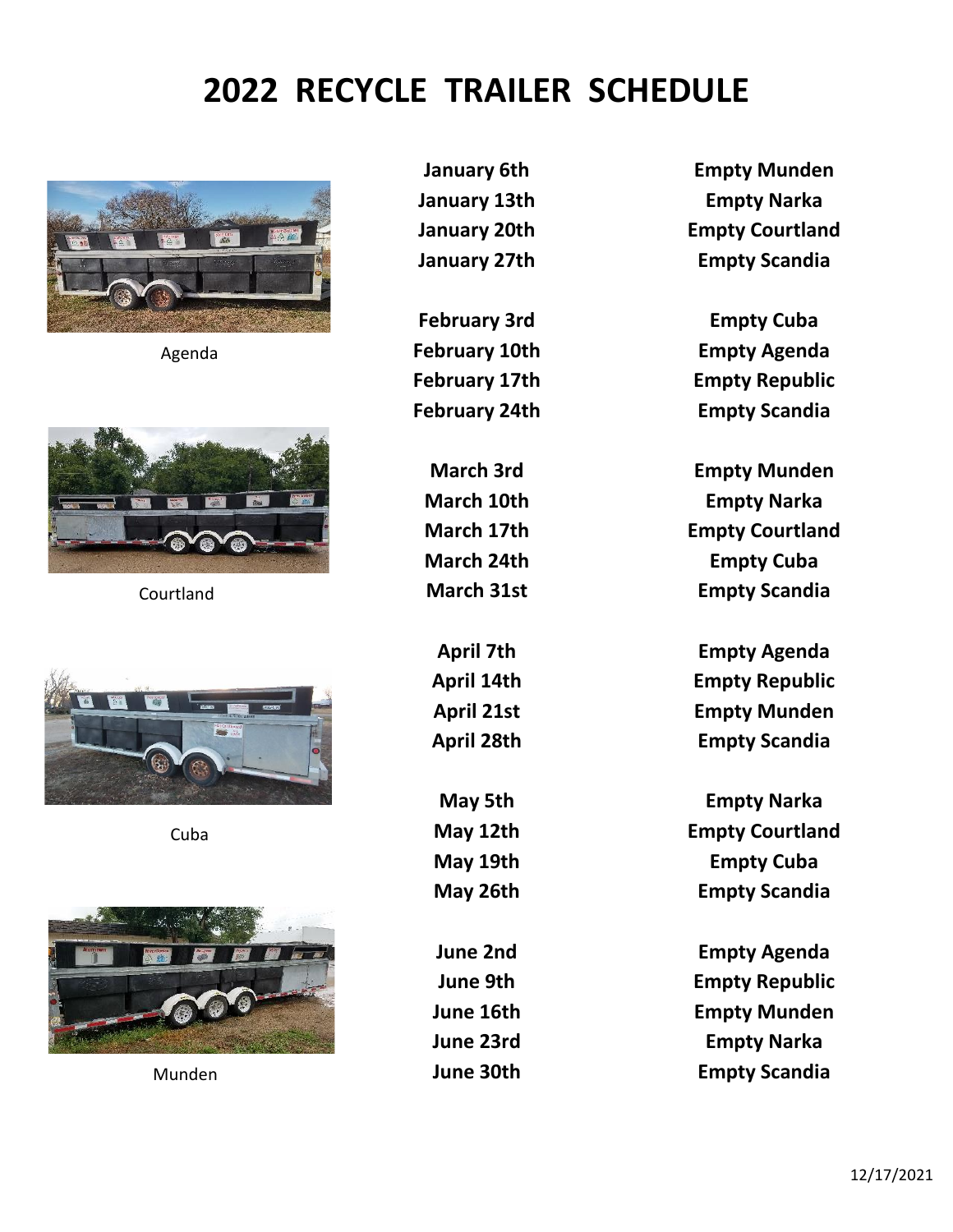## **2022 RECYCLE TRAILER SCHEDULE**









**January 6th Empty Munden January 13th Empty Narka January 20th Empty Courtland January 27th Empty Scandia**

**February 3rd Empty Cuba** Agenda **February 10th Empty Agenda February 17th Empty Republic February 24th Empty Scandia**

**March 3rd Empty Munden March 10th Empty Narka March 17th Empty Courtland March 24th Empty Cuba** Courtland **March 31st Empty Scandia**

> **April 7th Empty Agenda April 14th Empty Republic April 21st Empty Munden April 28th Empty Scandia**

**May 5th Empty Narka** Cuba **May 12th Empty Courtland May 19th Empty Cuba May 26th Empty Scandia**

**June 2nd Empty Agenda June 9th Empty Republic June 16th Empty Munden June 23rd Empty Narka** Munden **June 30th Empty Scandia**